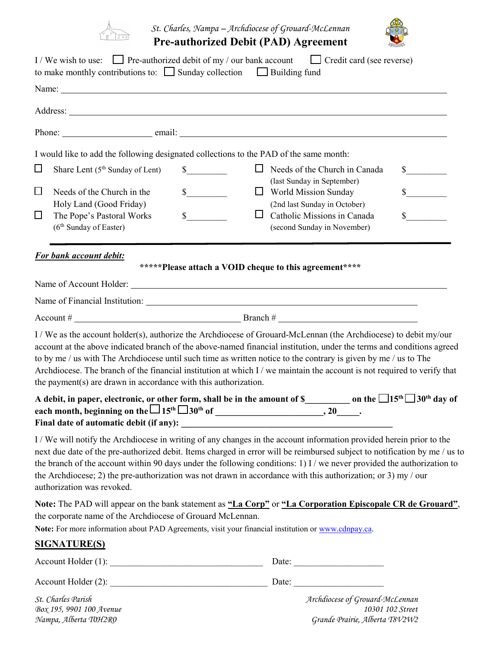

*St. Charles, Nampa – Archdiocese of Grouard-McLennan* **Pre-authorized Debit (PAD) Agreement** 



|        |                                                                     | I / We wish to use: $\Box$ Pre-authorized debit of my / our bank account $\Box$ Credit card (see reverse)<br>to make monthly contributions to: $\Box$ Sunday collection $\Box$ Building fund                                                                                                                                                                                                                                                                                                  |                             |
|--------|---------------------------------------------------------------------|-----------------------------------------------------------------------------------------------------------------------------------------------------------------------------------------------------------------------------------------------------------------------------------------------------------------------------------------------------------------------------------------------------------------------------------------------------------------------------------------------|-----------------------------|
|        |                                                                     |                                                                                                                                                                                                                                                                                                                                                                                                                                                                                               |                             |
|        |                                                                     |                                                                                                                                                                                                                                                                                                                                                                                                                                                                                               |                             |
|        |                                                                     |                                                                                                                                                                                                                                                                                                                                                                                                                                                                                               |                             |
|        |                                                                     | I would like to add the following designated collections to the PAD of the same month:                                                                                                                                                                                                                                                                                                                                                                                                        |                             |
| ⊔      | Share Lent (5 <sup>th</sup> Sunday of Lent)                         | $\sim$<br>$\Box$ Needs of the Church in Canada                                                                                                                                                                                                                                                                                                                                                                                                                                                | $\frac{\text{S}}{\text{S}}$ |
| $\Box$ | Needs of the Church in the                                          | (last Sunday in September)<br>$\frac{\text{S}}{\text{S}}$<br>$\Box$ World Mission Sunday                                                                                                                                                                                                                                                                                                                                                                                                      | $\sim$                      |
| $\Box$ | Holy Land (Good Friday)<br>The Pope's Pastoral Works                | (2nd last Sunday in October)<br>s<br>$\Box$<br>Catholic Missions in Canada                                                                                                                                                                                                                                                                                                                                                                                                                    | $\sim$                      |
|        | $(6th$ Sunday of Easter)                                            | (second Sunday in November)                                                                                                                                                                                                                                                                                                                                                                                                                                                                   |                             |
|        | <b>For bank account debit:</b>                                      |                                                                                                                                                                                                                                                                                                                                                                                                                                                                                               |                             |
|        |                                                                     | *****Please attach a VOID cheque to this agreement****                                                                                                                                                                                                                                                                                                                                                                                                                                        |                             |
|        |                                                                     |                                                                                                                                                                                                                                                                                                                                                                                                                                                                                               |                             |
|        |                                                                     |                                                                                                                                                                                                                                                                                                                                                                                                                                                                                               |                             |
|        |                                                                     |                                                                                                                                                                                                                                                                                                                                                                                                                                                                                               |                             |
|        | the payment( $s$ ) are drawn in accordance with this authorization. | I / We as the account holder(s), authorize the Archdiocese of Grouard-McLennan (the Archdiocese) to debit my/our<br>account at the above indicated branch of the above-named financial institution, under the terms and conditions agreed<br>to by me / us with The Archdiocese until such time as written notice to the contrary is given by me / us to The<br>Archdiocese. The branch of the financial institution at which I / we maintain the account is not required to verify that      |                             |
|        |                                                                     | A debit, in paper, electronic, or other form, shall be in the amount of $\frac{1}{2}$ on the $\frac{1}{5}$ 15 <sup>th</sup> $\frac{1}{3}$ 30 <sup>th</sup> day of                                                                                                                                                                                                                                                                                                                             |                             |
|        | authorization was revoked.                                          | I / We will notify the Archdiocese in writing of any changes in the account information provided herein prior to the<br>next due date of the pre-authorized debit. Items charged in error will be reimbursed subject to notification by me / us to<br>the branch of the account within 90 days under the following conditions: 1) I / we never provided the authorization to<br>the Archdiocese; 2) the pre-authorization was not drawn in accordance with this authorization; or 3) my / our |                             |
|        | the corporate name of the Archdiocese of Grouard McLennan.          | Note: The PAD will appear on the bank statement as "La Corp" or "La Corporation Episcopale CR de Grouard",<br>Note: For more information about PAD Agreements, visit your financial institution or www.cdnpay.ca.                                                                                                                                                                                                                                                                             |                             |
|        | <b>SIGNATURE(S)</b>                                                 |                                                                                                                                                                                                                                                                                                                                                                                                                                                                                               |                             |
|        |                                                                     |                                                                                                                                                                                                                                                                                                                                                                                                                                                                                               |                             |
|        |                                                                     |                                                                                                                                                                                                                                                                                                                                                                                                                                                                                               |                             |
|        | St. Charles Parish                                                  | Archdiocese of Grouard-McLennan                                                                                                                                                                                                                                                                                                                                                                                                                                                               |                             |

*Box 195, 9901 100 Avenue 10301 102 Street Nampa, Alberta T0H2R0 Grande Prairie, Alberta T8V2W2*